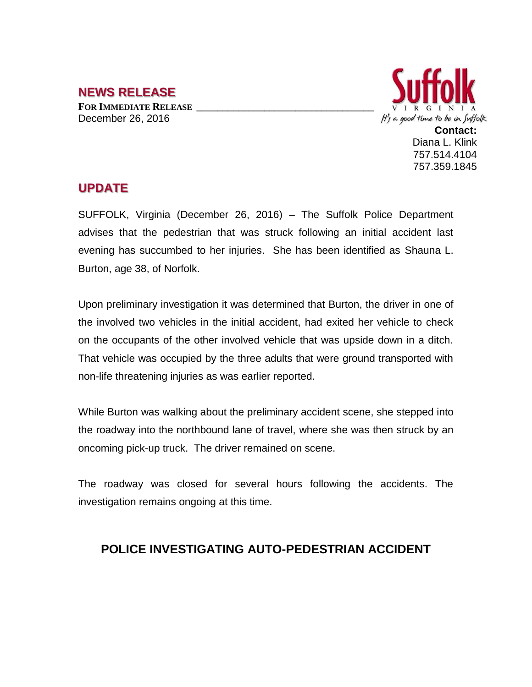## **NEWS RELEASE**

**FOR IMMEDIATE RELEASE \_\_\_\_\_\_\_\_\_\_\_\_\_\_\_\_\_\_\_\_\_\_\_\_\_\_\_\_\_\_\_\_\_\_** December 26, 2016



## **UPDATE**

SUFFOLK, Virginia (December 26, 2016) – The Suffolk Police Department advises that the pedestrian that was struck following an initial accident last evening has succumbed to her injuries. She has been identified as Shauna L. Burton, age 38, of Norfolk.

Upon preliminary investigation it was determined that Burton, the driver in one of the involved two vehicles in the initial accident, had exited her vehicle to check on the occupants of the other involved vehicle that was upside down in a ditch. That vehicle was occupied by the three adults that were ground transported with non-life threatening injuries as was earlier reported.

While Burton was walking about the preliminary accident scene, she stepped into the roadway into the northbound lane of travel, where she was then struck by an oncoming pick-up truck. The driver remained on scene.

The roadway was closed for several hours following the accidents. The investigation remains ongoing at this time.

## **POLICE INVESTIGATING AUTO-PEDESTRIAN ACCIDENT**